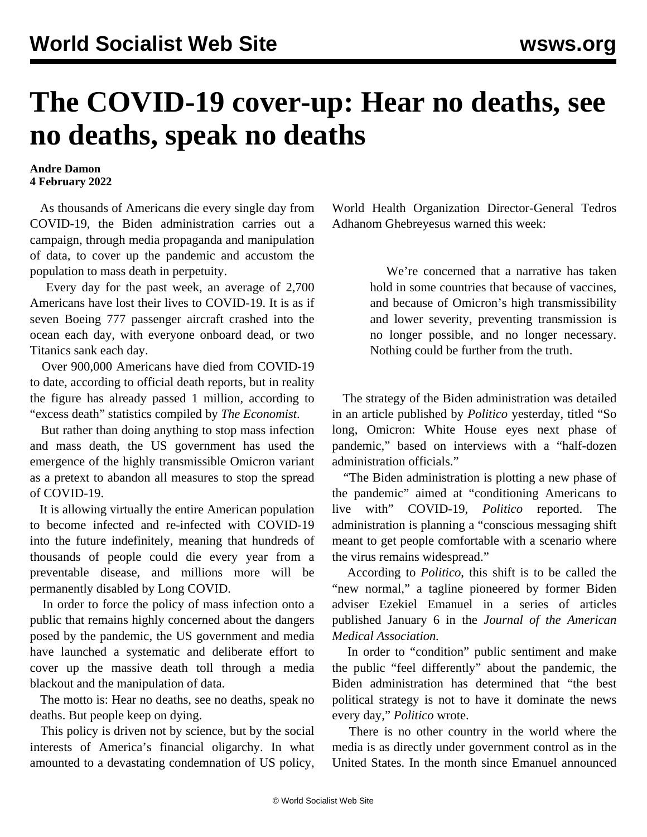## **The COVID-19 cover-up: Hear no deaths, see no deaths, speak no deaths**

## **Andre Damon 4 February 2022**

 As thousands of Americans die every single day from COVID-19, the Biden administration carries out a campaign, through media propaganda and manipulation of data, to cover up the pandemic and accustom the population to mass death in perpetuity.

 Every day for the past week, an average of 2,700 Americans have lost their lives to COVID-19. It is as if seven Boeing 777 passenger aircraft crashed into the ocean each day, with everyone onboard dead, or two Titanics sank each day.

 Over 900,000 Americans have died from COVID-19 to date, according to official death reports, but in reality the figure has already passed 1 million, according to "excess death" statistics compiled by *The Economist*.

 But rather than doing anything to stop mass infection and mass death, the US government has used the emergence of the highly transmissible Omicron variant as a pretext to abandon all measures to stop the spread of COVID-19.

 It is allowing virtually the entire American population to become infected and re-infected with COVID-19 into the future indefinitely, meaning that hundreds of thousands of people could die every year from a preventable disease, and millions more will be permanently disabled by Long COVID.

 In order to force the policy of mass infection onto a public that remains highly concerned about the dangers posed by the pandemic, the US government and media have launched a systematic and deliberate effort to cover up the massive death toll through a media blackout and the manipulation of data.

 The motto is: Hear no deaths, see no deaths, speak no deaths. But people keep on dying.

 This policy is driven not by science, but by the social interests of America's financial oligarchy. In what amounted to a devastating condemnation of US policy,

World Health Organization Director-General Tedros Adhanom Ghebreyesus warned this week:

> We're concerned that a narrative has taken hold in some countries that because of vaccines, and because of Omicron's high transmissibility and lower severity, preventing transmission is no longer possible, and no longer necessary. Nothing could be further from the truth.

 The strategy of the Biden administration was detailed in an article published by *Politico* yesterday, [titled](https://www.politico.com/news/2022/02/03/white-house-omicron-next-phase-pandemic-00005033) "So long, Omicron: White House eyes next phase of pandemic," based on interviews with a "half-dozen administration officials."

 "The Biden administration is plotting a new phase of the pandemic" aimed at "conditioning Americans to live with" COVID-19, *Politico* reported. The administration is planning a "conscious messaging shift meant to get people comfortable with a scenario where the virus remains widespread."

 According to *Politico*, this shift is to be called the "new normal," a tagline pioneered by former Biden adviser Ezekiel Emanuel in a series of [articles](https://jamanetwork.com/journals/jama/fullarticle/2787944) published January 6 in the *Journal of the American Medical Association.*

 In order to "condition" public sentiment and make the public "feel differently" about the pandemic, the Biden administration has determined that "the best political strategy is not to have it dominate the news every day," *Politico* wrote.

 There is no other country in the world where the media is as directly under government control as in the United States. In the month since Emanuel announced